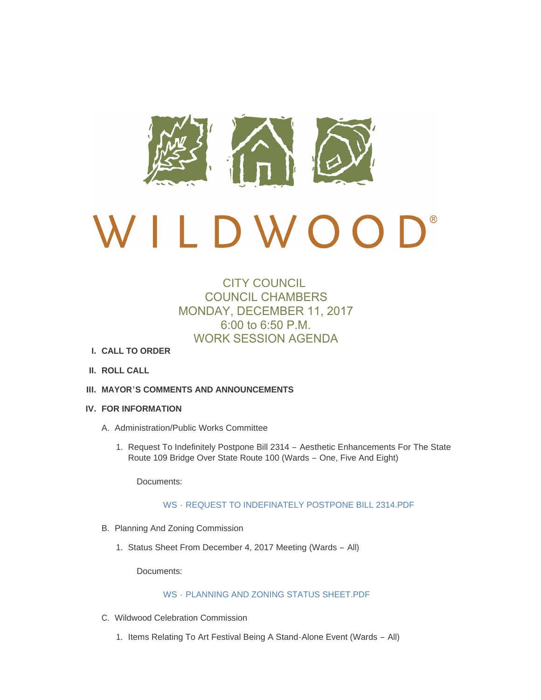

# $\bigcup$ <sup>®</sup>  $D W O$  $\overline{a}$

# CITY COUNCIL COUNCIL CHAMBERS MONDAY, DECEMBER 11, 2017 6:00 to 6:50 P.M. WORK SESSION AGENDA

- **CALL TO ORDER I.**
- **ROLL CALL II.**
- **MAYOR'S COMMENTS AND ANNOUNCEMENTS III.**
- **FOR INFORMATION IV.**
	- A. Administration/Public Works Committee
		- 1. Request To Indefinitely Postpone Bill 2314 Aesthetic Enhancements For The State Route 109 Bridge Over State Route 100 (Wards – One, Five And Eight)

Documents:

## WS - [REQUEST TO INDEFINATELY POSTPONE BILL 2314.PDF](http://mo-wildwood.civicplus.com/AgendaCenter/ViewFile/Item/13345?fileID=19140)

- B. Planning And Zoning Commission
	- 1. Status Sheet From December 4, 2017 Meeting (Wards All)

Documents:

# WS - [PLANNING AND ZONING STATUS SHEET.PDF](http://mo-wildwood.civicplus.com/AgendaCenter/ViewFile/Item/13347?fileID=19141)

- C. Wildwood Celebration Commission
	- 1. Items Relating To Art Festival Being A Stand-Alone Event (Wards All)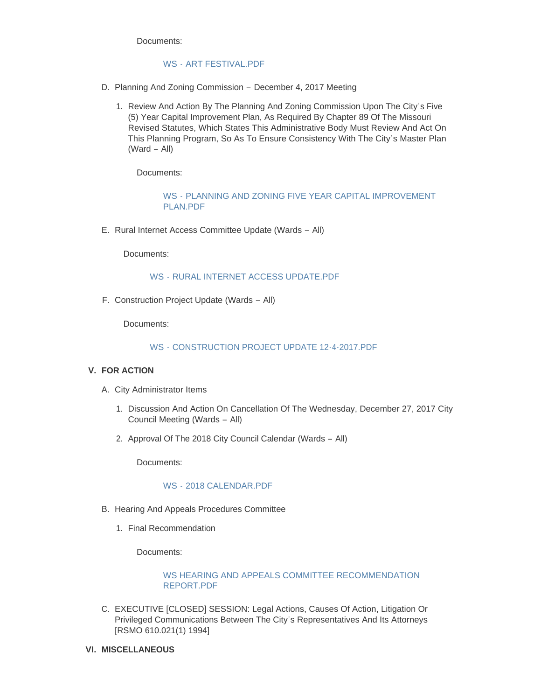Documents:

# WS - ART FESTIVAL PDF

- D. Planning And Zoning Commission December 4, 2017 Meeting
	- 1. Review And Action By The Planning And Zoning Commission Upon The City's Five (5) Year Capital Improvement Plan, As Required By Chapter 89 Of The Missouri Revised Statutes, Which States This Administrative Body Must Review And Act On This Planning Program, So As To Ensure Consistency With The City's Master Plan (Ward – All)

Documents:

WS - [PLANNING AND ZONING FIVE YEAR CAPITAL IMPROVEMENT](http://mo-wildwood.civicplus.com/AgendaCenter/ViewFile/Item/13351?fileID=19143)  PLAN PDF

E. Rural Internet Access Committee Update (Wards - All)

Documents:

## WS - [RURAL INTERNET ACCESS UPDATE.PDF](http://mo-wildwood.civicplus.com/AgendaCenter/ViewFile/Item/13352?fileID=19144)

F. Construction Project Update (Wards - All)

Documents:

# WS - [CONSTRUCTION PROJECT UPDATE 12-4-2017.PDF](http://mo-wildwood.civicplus.com/AgendaCenter/ViewFile/Item/13353?fileID=19145)

# **FOR ACTION V.**

- A. City Administrator Items
	- 1. Discussion And Action On Cancellation Of The Wednesday, December 27, 2017 City Council Meeting (Wards – All)
	- 2. Approval Of The 2018 City Council Calendar (Wards All)

Documents:

## WS - [2018 CALENDAR.PDF](http://mo-wildwood.civicplus.com/AgendaCenter/ViewFile/Item/13357?fileID=19204)

- B. Hearing And Appeals Procedures Committee
	- 1. Final Recommendation

Documents:

# [WS HEARING AND APPEALS COMMITTEE RECOMMENDATION](http://mo-wildwood.civicplus.com/AgendaCenter/ViewFile/Item/13359?fileID=19147)  REPORT.PDF

- C. EXECUTIVE [CLOSED] SESSION: Legal Actions, Causes Of Action, Litigation Or Privileged Communications Between The City's Representatives And Its Attorneys [RSMO 610.021(1) 1994]
- **MISCELLANEOUS VI.**